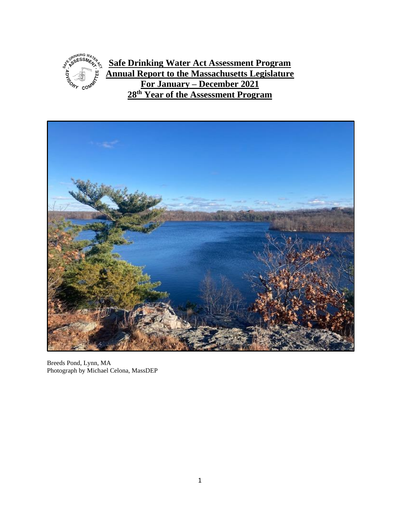

**Safe Drinking Water Act Assessment Program Annual Report to the Massachusetts Legislature For January – December 2021 28 th Year of the Assessment Program**



Breeds Pond, Lynn, MA Photograph by Michael Celona, MassDEP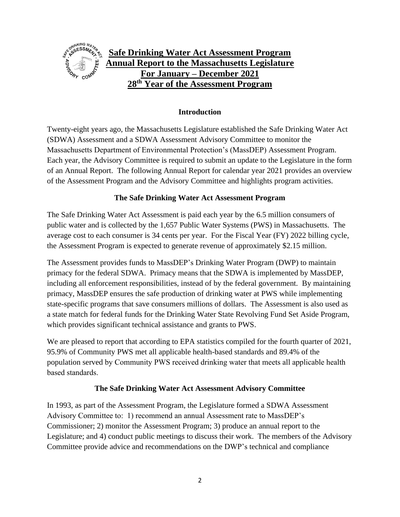

#### **Introduction**

Twenty-eight years ago, the Massachusetts Legislature established the Safe Drinking Water Act (SDWA) Assessment and a SDWA Assessment Advisory Committee to monitor the Massachusetts Department of Environmental Protection's (MassDEP) Assessment Program. Each year, the Advisory Committee is required to submit an update to the Legislature in the form of an Annual Report. The following Annual Report for calendar year 2021 provides an overview of the Assessment Program and the Advisory Committee and highlights program activities.

#### **The Safe Drinking Water Act Assessment Program**

The Safe Drinking Water Act Assessment is paid each year by the 6.5 million consumers of public water and is collected by the 1,657 Public Water Systems (PWS) in Massachusetts. The average cost to each consumer is 34 cents per year. For the Fiscal Year (FY) 2022 billing cycle, the Assessment Program is expected to generate revenue of approximately \$2.15 million.

The Assessment provides funds to MassDEP's Drinking Water Program (DWP) to maintain primacy for the federal SDWA. Primacy means that the SDWA is implemented by MassDEP, including all enforcement responsibilities, instead of by the federal government. By maintaining primacy, MassDEP ensures the safe production of drinking water at PWS while implementing state-specific programs that save consumers millions of dollars. The Assessment is also used as a state match for federal funds for the Drinking Water State Revolving Fund Set Aside Program, which provides significant technical assistance and grants to PWS.

We are pleased to report that according to EPA statistics compiled for the fourth quarter of 2021, 95.9% of Community PWS met all applicable health-based standards and 89.4% of the population served by Community PWS received drinking water that meets all applicable health based standards.

#### **The Safe Drinking Water Act Assessment Advisory Committee**

In 1993, as part of the Assessment Program, the Legislature formed a SDWA Assessment Advisory Committee to: 1) recommend an annual Assessment rate to MassDEP's Commissioner; 2) monitor the Assessment Program; 3) produce an annual report to the Legislature; and 4) conduct public meetings to discuss their work. The members of the Advisory Committee provide advice and recommendations on the DWP's technical and compliance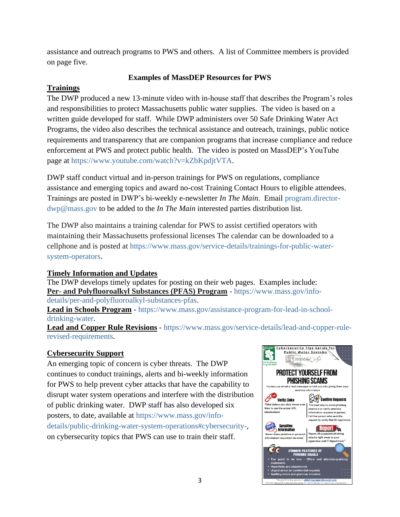assistance and outreach programs to PWS and others. A list of Committee members is provided on page five.

# **Examples of MassDEP Resources for PWS**

# **Trainings**

The DWP produced a new 13-minute video with in-house staff that describes the Program's roles and responsibilities to protect Massachusetts public water supplies. The video is based on a written guide developed for staff. While DWP administers over 50 Safe Drinking Water Act Programs, the video also describes the technical assistance and outreach, trainings, public notice requirements and transparency that are companion programs that increase compliance and reduce enforcement at PWS and protect public health. The video is posted on MassDEP's YouTube page at [https://www.youtube.com/watch?v=kZbKpdjtVTA.](https://www.youtube.com/watch?v=kZbKpdjtVTA)

DWP staff conduct virtual and in-person trainings for PWS on regulations, compliance assistance and emerging topics and award no-cost Training Contact Hours to eligible attendees. Trainings are posted in DWP's bi-weekly e-newsletter *In The Main*. Email [program.director](mailto:program.director-dwp@mass.gov)[dwp@mass.gov](mailto:program.director-dwp@mass.gov) to be added to the *In The Main* interested parties distribution list.

The DWP also maintains a training calendar for PWS to assist certified operators with maintaining their Massachusetts professional licenses The calendar can be downloaded to a cellphone and is posted at [https://www.mass.gov/service-details/trainings-for-public-water](https://www.mass.gov/service-details/trainings-for-public-water-system-operators)[system-operators.](https://www.mass.gov/service-details/trainings-for-public-water-system-operators)

#### **Timely Information and Updates**

The DWP develops timely updates for posting on their web pages. Examples include: **Per- and Polyfluoroalkyl Substances (PFAS) Program** - [https://www.mass.gov/info](https://www.mass.gov/info-details/per-and-polyfluoroalkyl-substances-pfas)[details/per-and-polyfluoroalkyl-substances-pfas.](https://www.mass.gov/info-details/per-and-polyfluoroalkyl-substances-pfas)

**Lead in Schools Program** - [https://www.mass.gov/assistance-program-for-lead-in-school](https://www.mass.gov/assistance-program-for-lead-in-school-drinking-water)[drinking-water.](https://www.mass.gov/assistance-program-for-lead-in-school-drinking-water)

**Lead and Copper Rule Revisions** - [https://www.mass.gov/service-details/lead-and-copper-rule](https://www.mass.gov/service-details/lead-and-copper-rule-revised-requirements)[revised-requirements.](https://www.mass.gov/service-details/lead-and-copper-rule-revised-requirements)

# **Cybersecurity Support**

An emerging topic of concern is cyber threats. The DWP continues to conduct trainings, alerts and bi-weekly information for PWS to help prevent cyber attacks that have the capability to disrupt water system operations and interfere with the distribution of public drinking water. DWP staff has also developed six posters, to date, available at [https://www.mass.gov/info](https://www.mass.gov/info-details/public-drinking-water-system-operations#cybersecurity-)[details/public-drinking-water-system-operations#cybersecurity-](https://www.mass.gov/info-details/public-drinking-water-system-operations#cybersecurity-), on cybersecurity topics that PWS can use to train their staff.

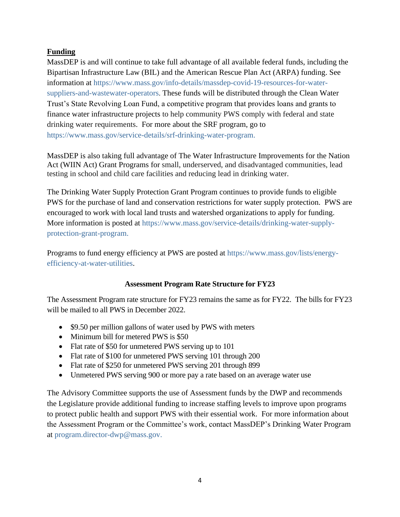# **Funding**

MassDEP is and will continue to take full advantage of all available federal funds, including the Bipartisan Infrastructure Law (BIL) and the American Rescue Plan Act (ARPA) funding. See information at [https://www.mass.gov/info-details/massdep-covid-19-resources-for-water](https://www.mass.gov/info-details/massdep-covid-19-resources-for-water-suppliers-and-wastewater-operators)[suppliers-and-wastewater-operators](https://www.mass.gov/info-details/massdep-covid-19-resources-for-water-suppliers-and-wastewater-operators). These funds will be distributed through the Clean Water Trust's State Revolving Loan Fund, a competitive program that provides loans and grants to finance water infrastructure projects to help community PWS comply with federal and state drinking water requirements. For more about the SRF program, go to [https://www.mass.gov/service-details/srf-drinking-water-program.](https://www.mass.gov/service-details/srf-drinking-water-program)

MassDEP is also taking full advantage of The Water Infrastructure Improvements for the Nation Act (WIIN Act) Grant Programs for [small, underserved, and disadvantaged communities,](https://www.epa.gov/dwcapacity/water-infrastructure-improvements-nation-act-wiin-act-grant-programs#small) [lead](https://www.epa.gov/dwcapacity/water-infrastructure-improvements-nation-act-wiin-act-grant-programs#lead)  [testing in school and child care facilities and](https://www.epa.gov/dwcapacity/water-infrastructure-improvements-nation-act-wiin-act-grant-programs#lead) [reducing lead in drinking water.](https://www.epa.gov/dwcapacity/water-infrastructure-improvements-nation-act-wiin-act-grant-programs#reducing)

The Drinking Water Supply Protection Grant Program continues to provide funds to eligible PWS for the purchase of land and conservation restrictions for water supply protection. PWS are encouraged to work with local land trusts and watershed organizations to apply for funding. More information is posted at [https://www.mass.gov/service-details/drinking-water-supply](https://www.mass.gov/service-details/drinking-water-supply-protection-grant-program)[protection-grant-program.](https://www.mass.gov/service-details/drinking-water-supply-protection-grant-program)

Programs to fund energy efficiency at PWS are posted at [https://www.mass.gov/lists/energy](https://www.mass.gov/lists/energy-efficiency-at-water-utilities)[efficiency-at-water-utilities.](https://www.mass.gov/lists/energy-efficiency-at-water-utilities)

#### **Assessment Program Rate Structure for FY23**

The Assessment Program rate structure for FY23 remains the same as for FY22. The bills for FY23 will be mailed to all PWS in December 2022.

- \$9.50 per million gallons of water used by PWS with meters
- Minimum bill for metered PWS is \$50
- Flat rate of \$50 for unmetered PWS serving up to 101
- Flat rate of \$100 for unmetered PWS serving 101 through 200
- Flat rate of \$250 for unmetered PWS serving 201 through 899
- Unmetered PWS serving 900 or more pay a rate based on an average water use

The Advisory Committee supports the use of Assessment funds by the DWP and recommends the Legislature provide additional funding to increase staffing levels to improve upon programs to protect public health and support PWS with their essential work. For more information about the Assessment Program or the Committee's work, contact MassDEP's Drinking Water Program at [program.director-dwp@mass.gov.](mailto:program.director-dwp@mass.gov)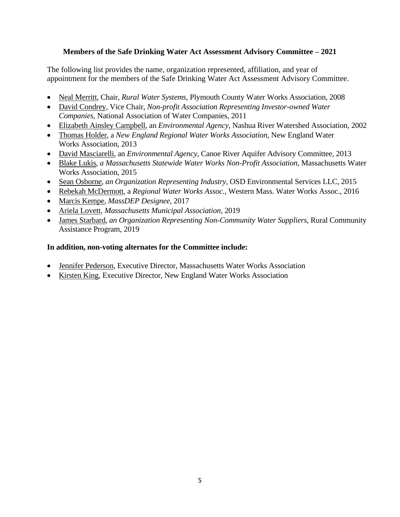#### **Members of the Safe Drinking Water Act Assessment Advisory Committee – 2021**

The following list provides the name, organization represented, affiliation, and year of appointment for the members of the Safe Drinking Water Act Assessment Advisory Committee.

- Neal Merritt, Chair, *Rural Water Systems*, Plymouth County Water Works Association, 2008
- David Condrey, Vice Chair, *Non-profit Association Representing Investor-owned Water Companies*, National Association of Water Companies, 2011
- Elizabeth Ainsley Campbell, an *Environmental Agency,* Nashua River Watershed Association, 2002
- Thomas Holder, a *New England Regional Water Works Association,* New England Water Works Association, 2013
- David Masciarelli, an *Environmental Agency*, Canoe River Aquifer Advisory Committee, 2013
- Blake Lukis, *a Massachusetts Statewide Water Works Non-Profit Association*, Massachusetts Water Works Association, 2015
- Sean Osborne, *an Organization Representing Industry*, OSD Environmental Services LLC, 2015
- Rebekah McDermott, a *Regional Water Works Assoc.,* Western Mass. Water Works Assoc., 2016
- Marcis Kempe, *MassDEP Designee*, 2017
- Ariela Lovett, *Massachusetts Municipal Association*, 2019
- James Starbard, *an Organization Representing Non-Community Water Suppliers*, Rural Community Assistance Program, 2019

### **In addition, non-voting alternates for the Committee include:**

- Jennifer Pederson, Executive Director, Massachusetts Water Works Association
- Kirsten King, Executive Director, New England Water Works Association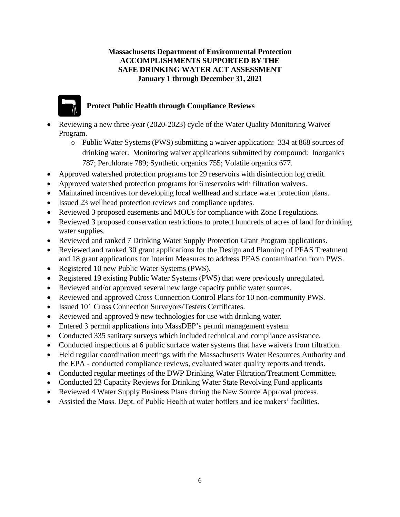#### **Massachusetts Department of Environmental Protection ACCOMPLISHMENTS SUPPORTED BY THE SAFE DRINKING WATER ACT ASSESSMENT January 1 through December 31, 2021**



# **Protect Public Health through Compliance Reviews**

- Reviewing a new three-year (2020-2023) cycle of the Water Quality Monitoring Waiver Program.
	- o Public Water Systems (PWS) submitting a waiver application: 334 at 868 sources of drinking water. Monitoring waiver applications submitted by compound: Inorganics 787; Perchlorate 789; Synthetic organics 755; Volatile organics 677.
- Approved watershed protection programs for 29 reservoirs with disinfection log credit.
- Approved watershed protection programs for 6 reservoirs with filtration waivers.
- Maintained incentives for developing local wellhead and surface water protection plans.
- Issued 23 wellhead protection reviews and compliance updates.
- Reviewed 3 proposed easements and MOUs for compliance with Zone I regulations.
- Reviewed 3 proposed conservation restrictions to protect hundreds of acres of land for drinking water supplies.
- Reviewed and ranked 7 Drinking Water Supply Protection Grant Program applications.
- Reviewed and ranked 30 grant applications for the Design and Planning of PFAS Treatment and 18 grant applications for Interim Measures to address PFAS contamination from PWS.
- Registered 10 new Public Water Systems (PWS).
- Registered 19 existing Public Water Systems (PWS) that were previously unregulated.
- Reviewed and/or approved several new large capacity public water sources.
- Reviewed and approved Cross Connection Control Plans for 10 non-community PWS.
- Issued 101 Cross Connection Surveyors/Testers Certificates.
- Reviewed and approved 9 new technologies for use with drinking water.
- Entered 3 permit applications into MassDEP's permit management system.
- Conducted 335 sanitary surveys which included technical and compliance assistance.
- Conducted inspections at 6 public surface water systems that have waivers from filtration.
- Held regular coordination meetings with the Massachusetts Water Resources Authority and the EPA - conducted compliance reviews, evaluated water quality reports and trends.
- Conducted regular meetings of the DWP Drinking Water Filtration/Treatment Committee.
- Conducted 23 Capacity Reviews for Drinking Water State Revolving Fund applicants
- Reviewed 4 Water Supply Business Plans during the New Source Approval process.
- Assisted the Mass. Dept. of Public Health at water bottlers and ice makers' facilities.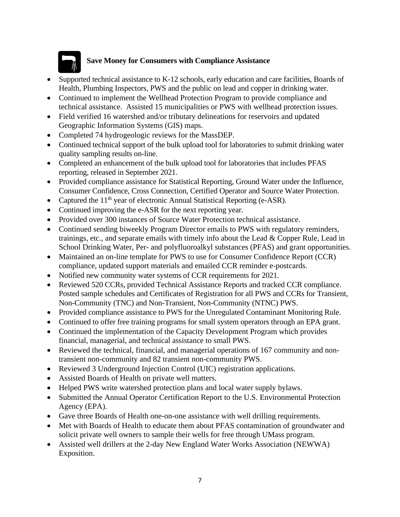

# **Save Money for Consumers with Compliance Assistance**

- Supported technical assistance to K-12 schools, early education and care facilities, Boards of Health, Plumbing Inspectors, PWS and the public on lead and copper in drinking water.
- Continued to implement the Wellhead Protection Program to provide compliance and technical assistance.Assisted 15 municipalities or PWS with wellhead protection issues.
- Field verified 16 watershed and/or tributary delineations for reservoirs and updated Geographic Information Systems (GIS) maps.
- Completed 74 hydrogeologic reviews for the MassDEP.
- Continued technical support of the bulk upload tool for laboratories to submit drinking water quality sampling results on-line.
- Completed an enhancement of the bulk upload tool for laboratories that includes PFAS reporting, released in September 2021.
- Provided compliance assistance for Statistical Reporting, Ground Water under the Influence, Consumer Confidence, Cross Connection, Certified Operator and Source Water Protection.
- Captured the 11<sup>th</sup> year of electronic Annual Statistical Reporting (e-ASR).
- Continued improving the e-ASR for the next reporting year.
- Provided over 300 instances of Source Water Protection technical assistance.
- Continued sending biweekly Program Director emails to PWS with regulatory reminders, trainings, etc., and separate emails with timely info about the Lead & Copper Rule, Lead in School Drinking Water, Per- and polyfluoroalkyl substances (PFAS) and grant opportunities.
- Maintained an on-line template for PWS to use for Consumer Confidence Report (CCR) compliance, updated support materials and emailed CCR reminder e-postcards.
- Notified new community water systems of CCR requirements for 2021.
- Reviewed 520 CCRs, provided Technical Assistance Reports and tracked CCR compliance. Posted sample schedules and Certificates of Registration for all PWS and CCRs for Transient, Non-Community (TNC) and Non-Transient, Non-Community (NTNC) PWS.
- Provided compliance assistance to PWS for the Unregulated Contaminant Monitoring Rule.
- Continued to offer free training programs for small system operators through an EPA grant.
- Continued the implementation of the Capacity Development Program which provides financial, managerial, and technical assistance to small PWS.
- Reviewed the technical, financial, and managerial operations of 167 community and nontransient non-community and 82 transient non-community PWS.
- Reviewed 3 Underground Injection Control (UIC) registration applications.
- Assisted Boards of Health on private well matters.
- Helped PWS write watershed protection plans and local water supply bylaws.
- Submitted the Annual Operator Certification Report to the U.S. Environmental Protection Agency (EPA).
- Gave three Boards of Health one-on-one assistance with well drilling requirements.
- Met with Boards of Health to educate them about PFAS contamination of groundwater and solicit private well owners to sample their wells for free through UMass program.
- Assisted well drillers at the 2-day New England Water Works Association (NEWWA) Exposition.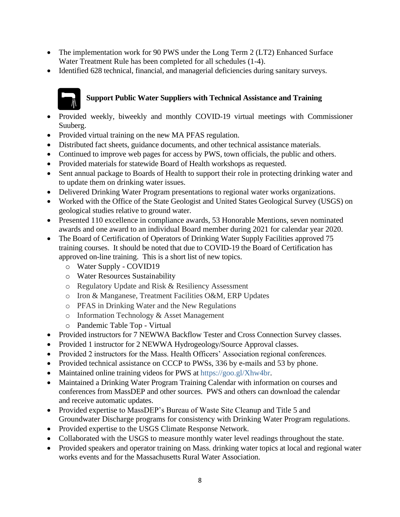- The implementation work for 90 PWS under the Long Term 2 (LT2) Enhanced Surface Water Treatment Rule has been completed for all schedules (1-4).
- Identified 628 technical, financial, and managerial deficiencies during sanitary surveys.

# **Support Public Water Suppliers with Technical Assistance and Training**

- Provided weekly, biweekly and monthly COVID-19 virtual meetings with Commissioner Suuberg.
- Provided virtual training on the new MA PFAS regulation.
- Distributed fact sheets, guidance documents, and other technical assistance materials.
- Continued to improve web pages for access by PWS, town officials, the public and others.
- Provided materials for statewide Board of Health workshops as requested.
- Sent annual package to Boards of Health to support their role in protecting drinking water and to update them on drinking water issues.
- Delivered Drinking Water Program presentations to regional water works organizations.
- Worked with the Office of the State Geologist and United States Geological Survey (USGS) on geological studies relative to ground water.
- Presented 110 excellence in compliance awards, 53 Honorable Mentions, seven nominated awards and one award to an individual Board member during 2021 for calendar year 2020.
- The Board of Certification of Operators of Drinking Water Supply Facilities approved 75 training courses. It should be noted that due to COVID-19 the Board of Certification has approved on-line training. This is a short list of new topics.
	- o Water Supply COVID19
	- o Water Resources Sustainability
	- o Regulatory Update and Risk & Resiliency Assessment
	- o Iron & Manganese, Treatment Facilities O&M, ERP Updates
	- o PFAS in Drinking Water and the New Regulations
	- o Information Technology & Asset Management
	- o Pandemic Table Top Virtual
- Provided instructors for 7 NEWWA Backflow Tester and Cross Connection Survey classes.
- Provided 1 instructor for 2 NEWWA Hydrogeology/Source Approval classes.
- Provided 2 instructors for the Mass. Health Officers' Association regional conferences.
- Provided technical assistance on CCCP to PWSs, 336 by e-mails and 53 by phone.
- Maintained online training videos for PWS at [https://goo.gl/Xhw4br.](https://goo.gl/Xhw4br)
- Maintained a Drinking Water Program Training Calendar with information on courses and conferences from MassDEP and other sources. PWS and others can download the calendar and receive automatic updates.
- Provided expertise to MassDEP's Bureau of Waste Site Cleanup and Title 5 and Groundwater Discharge programs for consistency with Drinking Water Program regulations.
- Provided expertise to the USGS Climate Response Network.
- Collaborated with the USGS to measure monthly water level readings throughout the state.
- Provided speakers and operator training on Mass. drinking water topics at local and regional water works events and for the Massachusetts Rural Water Association.